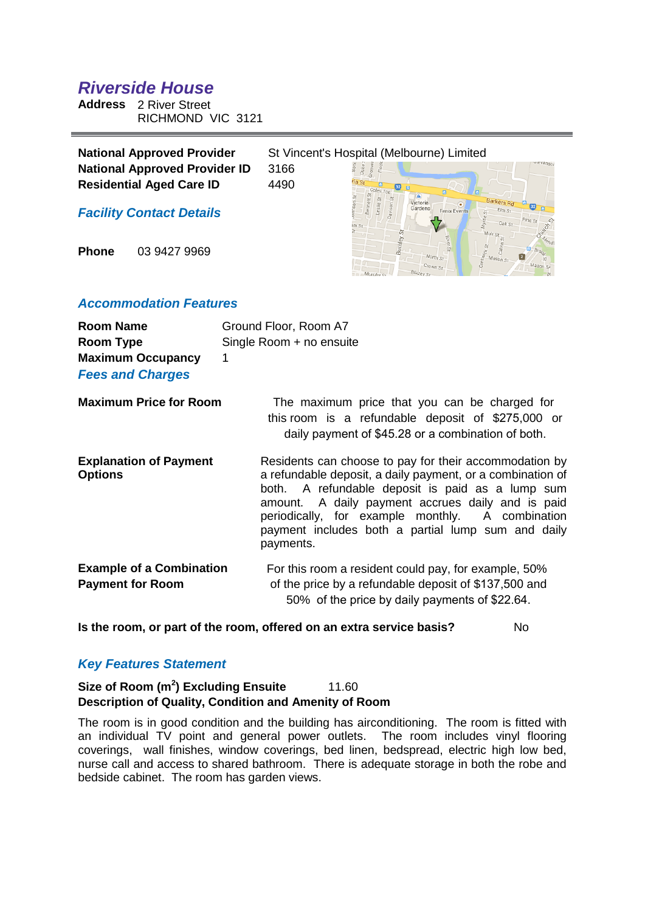# *Riverside House*

**Address** 2 River Street RICHMOND VIC 3121

| <b>National Approved Provider</b>    |      | St Vincent's Hospital (Melbourne) Limited |
|--------------------------------------|------|-------------------------------------------|
| <b>National Approved Provider ID</b> | 3166 |                                           |
| <b>Residential Aged Care ID</b>      | 4490 |                                           |
| <b>Facility Contact Details</b>      |      | Gardens<br><b>Fenix Events</b>            |

**Phone** 03 9427 9969

# *Accommodation Features*

| <b>Room Name</b><br>Room Type<br><b>Maximum Occupancy</b><br><b>Fees and Charges</b> | Ground Floor, Room A7<br>Single Room + no ensuite<br>1                                                                                                                                                                                                                                                                                               |
|--------------------------------------------------------------------------------------|------------------------------------------------------------------------------------------------------------------------------------------------------------------------------------------------------------------------------------------------------------------------------------------------------------------------------------------------------|
| <b>Maximum Price for Room</b>                                                        | The maximum price that you can be charged for<br>this room is a refundable deposit of \$275,000 or<br>daily payment of \$45.28 or a combination of both.                                                                                                                                                                                             |
| <b>Explanation of Payment</b><br><b>Options</b>                                      | Residents can choose to pay for their accommodation by<br>a refundable deposit, a daily payment, or a combination of<br>both. A refundable deposit is paid as a lump sum<br>amount. A daily payment accrues daily and is paid<br>periodically, for example monthly. A combination<br>payment includes both a partial lump sum and daily<br>payments. |
| <b>Example of a Combination</b><br><b>Payment for Room</b>                           | For this room a resident could pay, for example, 50%<br>of the price by a refundable deposit of \$137,500 and<br>50% of the price by daily payments of \$22.64.                                                                                                                                                                                      |

**Is the room, or part of the room, offered on an extra service basis?** No

# *Key Features Statement*

# **Size of Room (m<sup>2</sup> ) Excluding Ensuite** 11.60 **Description of Quality, Condition and Amenity of Room**

The room is in good condition and the building has airconditioning. The room is fitted with an individual TV point and general power outlets. The room includes vinyl flooring coverings, wall finishes, window coverings, bed linen, bedspread, electric high low bed, nurse call and access to shared bathroom. There is adequate storage in both the robe and bedside cabinet. The room has garden views.